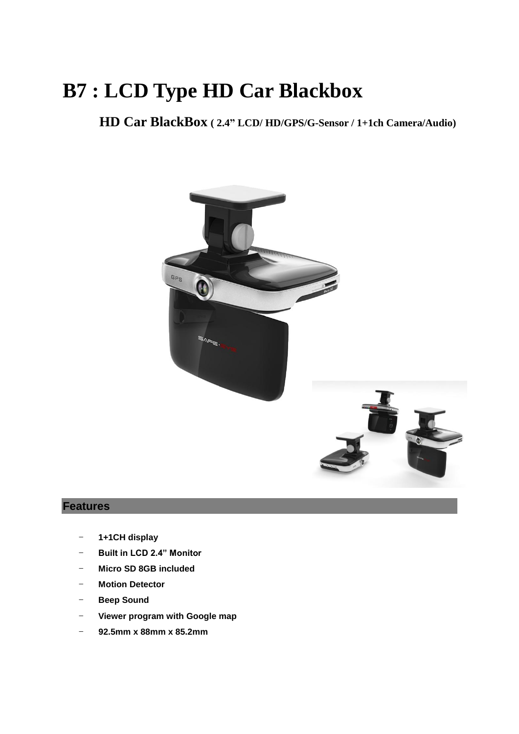# **B7 : LCD Type HD Car Blackbox**

**HD Car BlackBox ( 2.4" LCD/ HD/GPS/G-Sensor / 1+1ch Camera/Audio)**



### **Features**

- **1+1CH display**
- **Built in LCD 2.4" Monitor**
- **Micro SD 8GB included**
- **Motion Detector**
- **Beep Sound**
- **Viewer program with Google map**
- **92.5mm x 88mm x 85.2mm**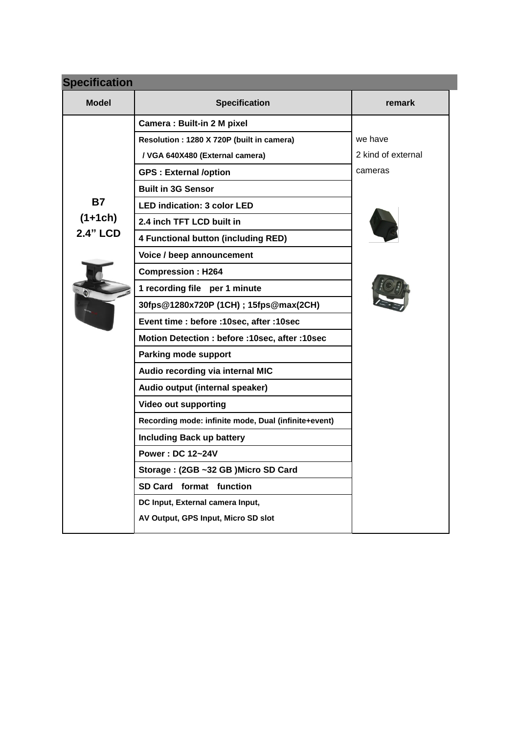| <b>Specification</b> |                                                      |                    |  |  |  |  |
|----------------------|------------------------------------------------------|--------------------|--|--|--|--|
| <b>Model</b>         | <b>Specification</b>                                 | remark             |  |  |  |  |
|                      | <b>Camera: Built-in 2 M pixel</b>                    |                    |  |  |  |  |
|                      | Resolution: 1280 X 720P (built in camera)            | we have            |  |  |  |  |
|                      | / VGA 640X480 (External camera)                      | 2 kind of external |  |  |  |  |
|                      | <b>GPS: External /option</b>                         | cameras            |  |  |  |  |
|                      | <b>Built in 3G Sensor</b>                            |                    |  |  |  |  |
| <b>B7</b>            | <b>LED indication: 3 color LED</b>                   |                    |  |  |  |  |
| $(1+1ch)$            | 2.4 inch TFT LCD built in                            |                    |  |  |  |  |
| <b>2.4" LCD</b>      | 4 Functional button (including RED)                  |                    |  |  |  |  |
|                      | Voice / beep announcement                            |                    |  |  |  |  |
|                      | <b>Compression: H264</b>                             |                    |  |  |  |  |
|                      | 1 recording file per 1 minute                        |                    |  |  |  |  |
|                      | 30fps@1280x720P (1CH); 15fps@max(2CH)                |                    |  |  |  |  |
|                      | Event time : before : 10sec, after : 10sec           |                    |  |  |  |  |
|                      | Motion Detection : before : 10sec, after : 10sec     |                    |  |  |  |  |
|                      | Parking mode support                                 |                    |  |  |  |  |
|                      | Audio recording via internal MIC                     |                    |  |  |  |  |
|                      | Audio output (internal speaker)                      |                    |  |  |  |  |
|                      | <b>Video out supporting</b>                          |                    |  |  |  |  |
|                      | Recording mode: infinite mode, Dual (infinite+event) |                    |  |  |  |  |
|                      | <b>Including Back up battery</b>                     |                    |  |  |  |  |
|                      | <b>Power: DC 12~24V</b>                              |                    |  |  |  |  |
|                      | Storage: (2GB ~32 GB) Micro SD Card                  |                    |  |  |  |  |
|                      | SD Card format function                              |                    |  |  |  |  |
|                      | DC Input, External camera Input,                     |                    |  |  |  |  |
|                      | AV Output, GPS Input, Micro SD slot                  |                    |  |  |  |  |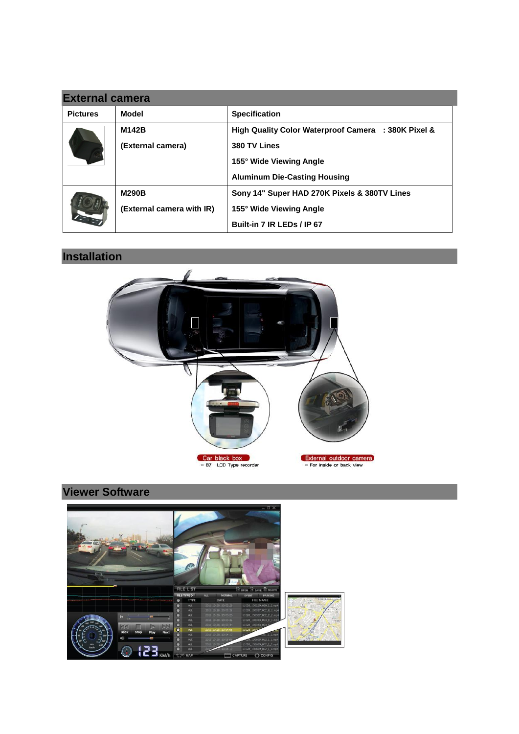| <b>External camera</b> |                           |                                                     |  |  |  |
|------------------------|---------------------------|-----------------------------------------------------|--|--|--|
| <b>Pictures</b>        | Model                     | <b>Specification</b>                                |  |  |  |
|                        | M142B                     | High Quality Color Waterproof Camera : 380K Pixel & |  |  |  |
|                        | (External camera)         | 380 TV Lines                                        |  |  |  |
|                        |                           | 155° Wide Viewing Angle                             |  |  |  |
|                        |                           | <b>Aluminum Die-Casting Housing</b>                 |  |  |  |
|                        | <b>M290B</b>              | Sony 14" Super HAD 270K Pixels & 380TV Lines        |  |  |  |
|                        | (External camera with IR) | 155° Wide Viewing Angle                             |  |  |  |
|                        |                           | Built-in 7 IR LEDs / IP 67                          |  |  |  |

# **Installation**



# **Viewer Software**